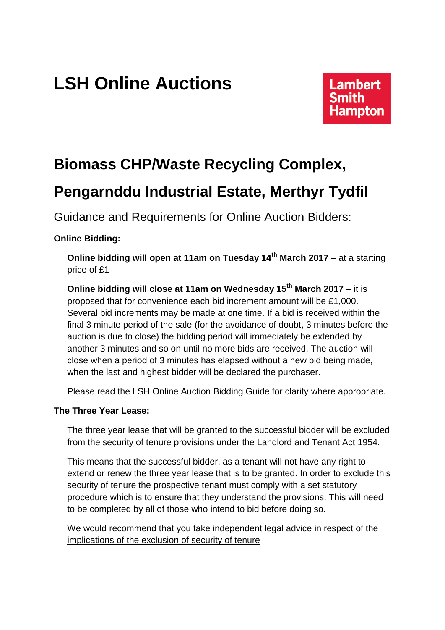## **LSH Online Auctions**

# **Lambert**

## **Biomass CHP/Waste Recycling Complex,**

### **Pengarnddu Industrial Estate, Merthyr Tydfil**

Guidance and Requirements for Online Auction Bidders:

#### **Online Bidding:**

**Online bidding will open at 11am on Tuesday 14th March 2017** – at a starting price of £1

**Online bidding will close at 11am on Wednesday 15th March 2017 –** it is proposed that for convenience each bid increment amount will be £1,000. Several bid increments may be made at one time. If a bid is received within the final 3 minute period of the sale (for the avoidance of doubt, 3 minutes before the auction is due to close) the bidding period will immediately be extended by another 3 minutes and so on until no more bids are received. The auction will close when a period of 3 minutes has elapsed without a new bid being made, when the last and highest bidder will be declared the purchaser.

Please read the LSH Online Auction Bidding Guide for clarity where appropriate.

#### **The Three Year Lease:**

The three year lease that will be granted to the successful bidder will be excluded from the security of tenure provisions under the Landlord and Tenant Act 1954.

This means that the successful bidder, as a tenant will not have any right to extend or renew the three year lease that is to be granted. In order to exclude this security of tenure the prospective tenant must comply with a set statutory procedure which is to ensure that they understand the provisions. This will need to be completed by all of those who intend to bid before doing so.

We would recommend that you take independent legal advice in respect of the implications of the exclusion of security of tenure